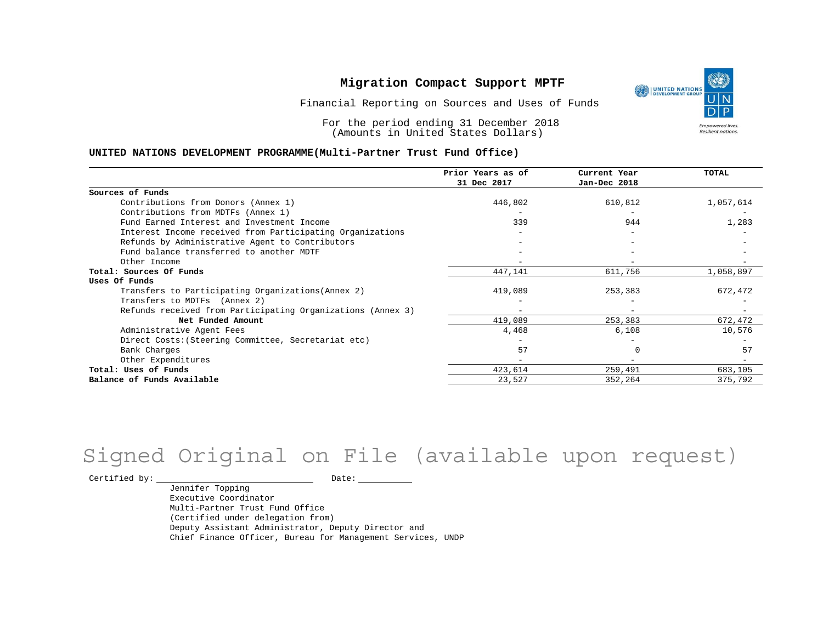

Financial Reporting on Sources and Uses of Funds

For the period ending 31 December 2018 (Amounts in United States Dollars)

#### **UNITED NATIONS DEVELOPMENT PROGRAMME(Multi-Partner Trust Fund Office)**

|                                                             | Prior Years as of<br>31 Dec 2017 | Current Year<br>Jan-Dec 2018 | <b>TOTAL</b> |
|-------------------------------------------------------------|----------------------------------|------------------------------|--------------|
| Sources of Funds                                            |                                  |                              |              |
| Contributions from Donors (Annex 1)                         | 446,802                          | 610,812                      | 1,057,614    |
| Contributions from MDTFs (Annex 1)                          |                                  |                              |              |
| Fund Earned Interest and Investment Income                  | 339                              | 944                          | 1,283        |
| Interest Income received from Participating Organizations   |                                  |                              |              |
| Refunds by Administrative Agent to Contributors             |                                  |                              |              |
| Fund balance transferred to another MDTF                    |                                  |                              |              |
| Other Income                                                |                                  |                              |              |
| Total: Sources Of Funds                                     | 447,141                          | 611,756                      | 1,058,897    |
| Uses Of Funds                                               |                                  |                              |              |
| Transfers to Participating Organizations (Annex 2)          | 419,089                          | 253,383                      | 672,472      |
| Transfers to MDTFs (Annex 2)                                |                                  |                              |              |
| Refunds received from Participating Organizations (Annex 3) | $-$                              | $\overline{\phantom{m}}$     |              |
| Net Funded Amount                                           | 419,089                          | 253,383                      | 672,472      |
| Administrative Agent Fees                                   | 4,468                            | 6,108                        | 10,576       |
| Direct Costs: (Steering Committee, Secretariat etc)         |                                  |                              |              |
| Bank Charges                                                | 57                               |                              | 57           |
| Other Expenditures                                          |                                  |                              |              |
| Total: Uses of Funds                                        | 423,614                          | 259,491                      | 683,105      |
| Balance of Funds Available                                  | 23,527                           | 352,264                      | 375,792      |

# Signed Original on File (available upon request)

 $\begin{tabular}{ccccc} \multicolumn{2}{c|}{\textbf{Certified by:}} & \multicolumn{2}{c|}{\textbf{Date:}} & \multicolumn{2}{c|}{\textbf{Date:}} \end{tabular}$ 

Jennifer Topping Executive Coordinator Multi-Partner Trust Fund Office (Certified under delegation from) Deputy Assistant Administrator, Deputy Director and Chief Finance Officer, Bureau for Management Services, UNDP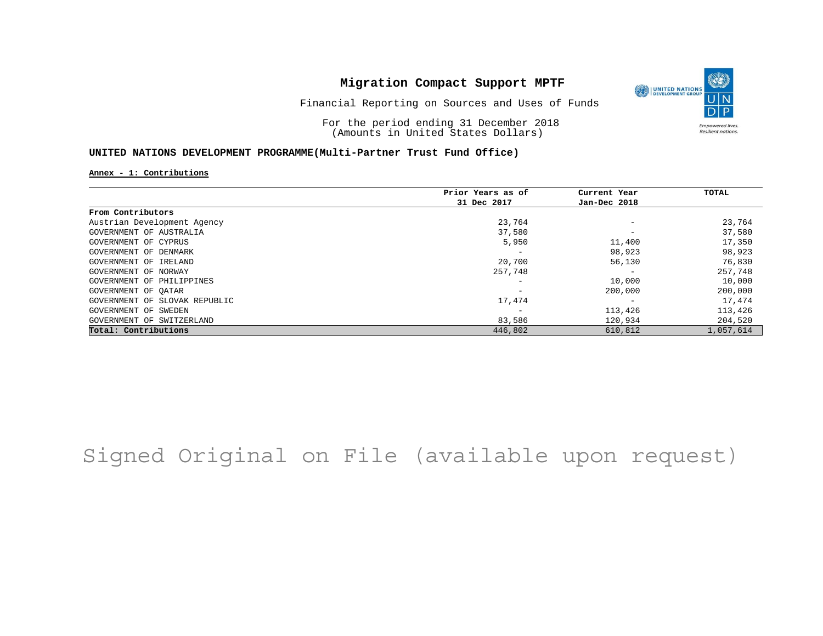

Financial Reporting on Sources and Uses of Funds

For the period ending 31 December 2018 (Amounts in United States Dollars)

#### **UNITED NATIONS DEVELOPMENT PROGRAMME(Multi-Partner Trust Fund Office)**

**Annex - 1: Contributions**

|                               | Prior Years as of | Current Year             | TOTAL     |
|-------------------------------|-------------------|--------------------------|-----------|
|                               | 31 Dec 2017       | Jan-Dec 2018             |           |
| From Contributors             |                   |                          |           |
| Austrian Development Agency   | 23,764            | $\overline{\phantom{a}}$ | 23,764    |
| GOVERNMENT OF AUSTRALIA       | 37,580            | $\overline{\phantom{a}}$ | 37,580    |
| GOVERNMENT OF CYPRUS          | 5,950             | 11,400                   | 17,350    |
| GOVERNMENT OF DENMARK         |                   | 98,923                   | 98,923    |
| GOVERNMENT OF IRELAND         | 20,700            | 56,130                   | 76,830    |
| GOVERNMENT OF NORWAY          | 257,748           | $\overline{\phantom{a}}$ | 257,748   |
| GOVERNMENT OF PHILIPPINES     |                   | 10,000                   | 10,000    |
| GOVERNMENT OF OATAR           |                   | 200,000                  | 200,000   |
| GOVERNMENT OF SLOVAK REPUBLIC | 17,474            | $\overline{\phantom{0}}$ | 17,474    |
| GOVERNMENT OF SWEDEN          | -                 | 113,426                  | 113,426   |
| GOVERNMENT OF SWITZERLAND     | 83,586            | 120,934                  | 204,520   |
| Total: Contributions          | 446,802           | 610,812                  | 1,057,614 |

Signed Original on File (available upon request)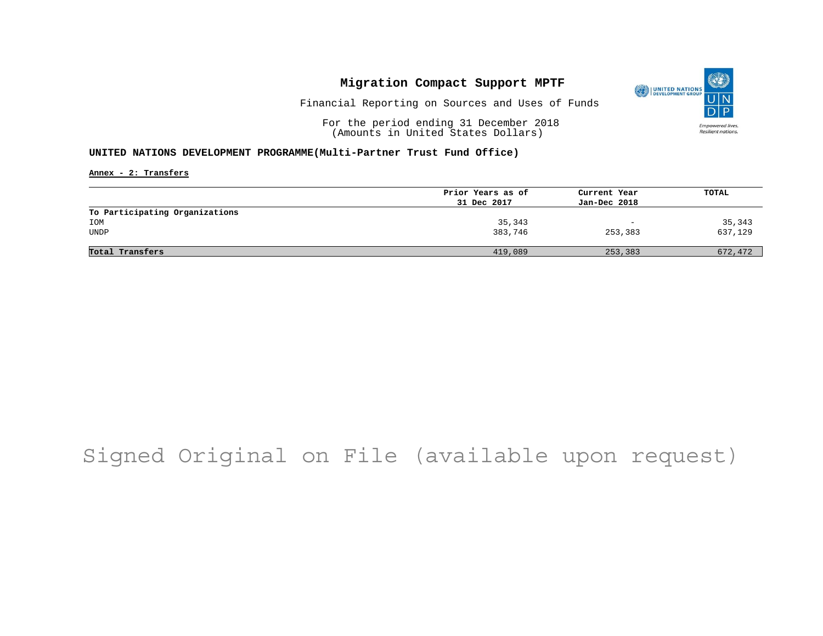

Financial Reporting on Sources and Uses of Funds

For the period ending 31 December 2018 (Amounts in United States Dollars)

#### **UNITED NATIONS DEVELOPMENT PROGRAMME(Multi-Partner Trust Fund Office)**

**Annex - 2: Transfers**

|                                | Prior Years as of | Current Year             | TOTAL   |
|--------------------------------|-------------------|--------------------------|---------|
|                                | 31 Dec 2017       | Jan-Dec 2018             |         |
| To Participating Organizations |                   |                          |         |
| IOM                            | 35,343            | $\overline{\phantom{0}}$ | 35,343  |
| UNDP                           | 383,746           | 253,383                  | 637,129 |
|                                |                   |                          |         |
| Total Transfers                | 419,089           | 253,383                  | 672,472 |
|                                |                   |                          |         |

## Signed Original on File (available upon request)